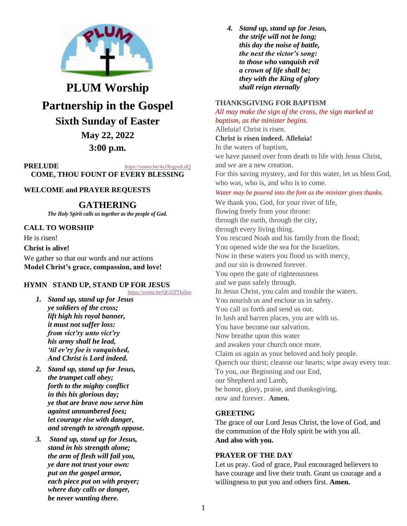

# **PLUM Worship Partnership in the Gospel Sixth Sunday of Easter May 22, 2022**

# **3:00 p.m.**

**PRELUDE** <https://youtu.be/4xJXzgonLdQ> **COME, THOU FOUNT OF EVERY BLESSING**

# **WELCOME and PRAYER REQUESTS**

# **GATHERING**

*The Holy Spirit calls us together as the people of God.*

### **CALL TO WORSHIP**

He is risen!

#### **Christ is alive!**

We gather so that our words and our actions **Model Christ's grace, compassion, and love!**

# **HYMN STAND UP, STAND UP FOR JESUS**

<https://youtu.be/QGf2fTIa0zo>

- *1. Stand up, stand up for Jesus ye soldiers of the cross; lift high his royal banner, it must not suffer loss: from vict'ry unto vict'ry his army shall he lead, 'til ev'ry foe is vanquished, And Christ is Lord indeed.*
- *2. Stand up, stand up for Jesus, the trumpet call obey; forth to the mighty conflict in this his glorious day; ye that are brave now serve him against unnumbered foes; let courage rise with danger, and strength to strength oppose.*
- *3. Stand up, stand up for Jesus, stand in his strength alone; the arm of flesh will fail you, ye dare not trust your own: put on the gospel armor, each piece put on with prayer; where duty calls or danger, be never wanting there.*

*4. Stand up, stand up for Jesus, the strife will not be long; this day the noise of battle, the next the victor's song: to those who vanquish evil a crown of life shall be; they with the King of glory shall reign eternally*

#### **THANKSGIVING FOR BAPTISM**

*All may make the sign of the cross, the sign marked at baptism, as the minister begins.*

Alleluia! Christ is risen. **Christ is risen indeed. Alleluia!** In the waters of baptism, we have passed over from death to life with Jesus Christ, and we are a new creation.

For this saving mystery, and for this water, let us bless God, who was, who is, and who is to come.

#### *Water may be poured into the font as the minister gives thanks.*

We thank you, God, for your river of life, flowing freely from your throne: through the earth, through the city, through every living thing. You rescued Noah and his family from the flood; You opened wide the sea for the Israelites. Now in these waters you flood us with mercy, and our sin is drowned forever. You open the gate of righteousness and we pass safely through. In Jesus Christ, you calm and trouble the waters. You nourish us and enclose us in safety. You call us forth and send us out. In lush and barren places, you are with us. You have become our salvation. Now breathe upon this water and awaken your church once more. Claim us again as your beloved and holy people. Quench our thirst; cleanse our hearts; wipe away every tear. To you, our Beginning and our End, our Shepherd and Lamb, be honor, glory, praise, and thanksgiving, now and forever. **Amen.**

#### **GREETING**

The grace of our Lord Jesus Christ, the love of God, and the communion of the Holy spirit be with you all. **And also with you.**

#### **PRAYER OF THE DAY**

Let us pray. God of grace, Paul encouraged believers to have courage and live their truth. Grant us courage and a willingness to put you and others first. **Amen.**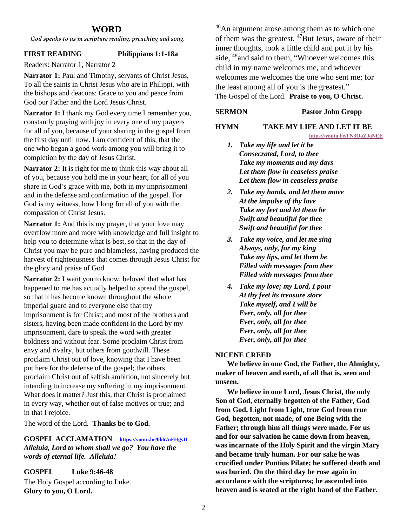# **WORD**

*God speaks to us in scripture reading, preaching and song.*

#### **FIRST READING Philippians 1:1-18a**

Readers: Narrator 1, Narrator 2

**Narrator 1:** Paul and Timothy, servants of Christ Jesus, To all the saints in Christ Jesus who are in Philippi, with the bishops and deacons: Grace to you and peace from God our Father and the Lord Jesus Christ.

**Narrator 1:** I thank my God every time I remember you, constantly praying with joy in every one of my prayers for all of you, because of your sharing in the gospel from the first day until now. I am confident of this, that the one who began a good work among you will bring it to completion by the day of Jesus Christ.

**Narrator 2:** It is right for me to think this way about all of you, because you hold me in your heart, for all of you share in God's grace with me, both in my imprisonment and in the defense and confirmation of the gospel. For God is my witness, how I long for all of you with the compassion of Christ Jesus.

**Narrator 1:** And this is my prayer, that your love may overflow more and more with knowledge and full insight to help you to determine what is best, so that in the day of Christ you may be pure and blameless, having produced the harvest of righteousness that comes through Jesus Christ for the glory and praise of God.

**Narrator 2:** I want you to know, beloved that what has happened to me has actually helped to spread the gospel, so that it has become known throughout the whole imperial guard and to everyone else that my imprisonment is for Christ; and most of the brothers and sisters, having been made confident in the Lord by my imprisonment, dare to speak the word with greater boldness and without fear. Some proclaim Christ from envy and rivalry, but others from goodwill. These proclaim Christ out of love, knowing that I have been put here for the defense of the gospel; the others proclaim Christ out of selfish ambition, not sincerely but intending to increase my suffering in my imprisonment. What does it matter? Just this, that Christ is proclaimed in every way, whether out of false motives or true; and in that I rejoice.

The word of the Lord. **Thanks be to God.**

**GOSPEL ACCLAMATION <https://youtu.be/0k67nFHgvII>** *Alleluia, Lord to whom shall we go? You have the words of eternal life. Alleluia!*

**GOSPEL Luke 9:46-48**

The Holy Gospel according to Luke. **Glory to you, O Lord.**

<sup>46</sup>An argument arose among them as to which one of them was the greatest.  $47$ But Jesus, aware of their inner thoughts, took a little child and put it by his side, <sup>48</sup> and said to them, "Whoever welcomes this child in my name welcomes me, and whoever welcomes me welcomes the one who sent me; for the least among all of you is the greatest." The Gospel of the Lord. **Praise to you, O Christ.**

### **SERMON Pastor John Gropp**

### **HYMN TAKE MY LIFE AND LET IT BE**

**<https://youtu.be/FN3OaZJaNEE>**

- *1. Take my life and let it be Consecrated, Lord, to thee Take my moments and my days Let them flow in ceaseless praise Let them flow in ceaseless praise*
- *2. Take my hands, and let them move At the impulse of thy love Take my feet and let them be Swift and beautiful for thee Swift and beautiful for thee*
- *3. Take my voice, and let me sing Always, only, for my king Take my lips, and let them be Filled with messages from thee Filled with messages from thee*
- *4. Take my love; my Lord, I pour At thy feet its treasure store Take myself, and I will be Ever, only, all for thee Ever, only, all for thee Ever, only, all for thee Ever, only, all for thee*

# **NICENE CREED**

**We believe in one God, the Father, the Almighty, maker of heaven and earth, of all that is, seen and unseen.**

**We believe in one Lord, Jesus Christ, the only Son of God, eternally begotten of the Father, God from God, Light from Light, true God from true God, begotten, not made, of one Being with the Father; through him all things were made. For us and for our salvation he came down from heaven, was incarnate of the Holy Spirit and the virgin Mary and became truly human. For our sake he was crucified under Pontius Pilate; he suffered death and was buried. On the third day he rose again in accordance with the scriptures; he ascended into heaven and is seated at the right hand of the Father.**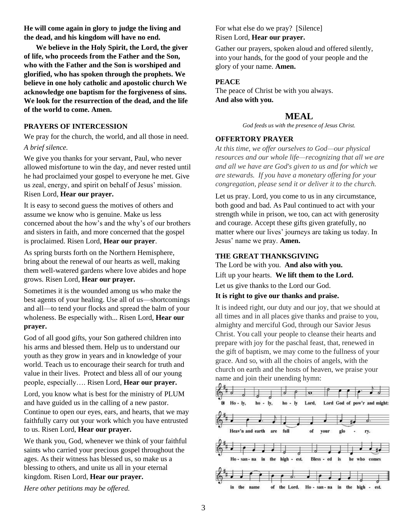**He will come again in glory to judge the living and the dead, and his kingdom will have no end.**

**We believe in the Holy Spirit, the Lord, the giver of life, who proceeds from the Father and the Son, who with the Father and the Son is worshiped and glorified, who has spoken through the prophets. We believe in one holy catholic and apostolic church We acknowledge one baptism for the forgiveness of sins. We look for the resurrection of the dead, and the life of the world to come. Amen.**

#### **PRAYERS OF INTERCESSION**

We pray for the church, the world, and all those in need. *A brief silence.*

We give you thanks for your servant, Paul, who never allowed misfortune to win the day, and never rested until he had proclaimed your gospel to everyone he met. Give us zeal, energy, and spirit on behalf of Jesus' mission. Risen Lord, **Hear our prayer.**

It is easy to second guess the motives of others and assume we know who is genuine. Make us less concerned about the how's and the why's of our brothers and sisters in faith, and more concerned that the gospel is proclaimed. Risen Lord, **Hear our prayer**.

As spring bursts forth on the Northern Hemisphere, bring about the renewal of our hearts as well, making them well-watered gardens where love abides and hope grows. Risen Lord, **Hear our prayer.**

Sometimes it is the wounded among us who make the best agents of your healing. Use all of us—shortcomings and all—to tend your flocks and spread the balm of your wholeness. Be especially with... Risen Lord, **Hear our prayer.**

God of all good gifts, your Son gathered children into his arms and blessed them. Help us to understand our youth as they grow in years and in knowledge of your world. Teach us to encourage their search for truth and value in their lives. Protect and bless all of our young people, especially…. Risen Lord, **Hear our prayer.**

Lord, you know what is best for the ministry of PLUM and have guided us in the calling of a new pastor. Continue to open our eyes, ears, and hearts, that we may faithfully carry out your work which you have entrusted to us. Risen Lord, **Hear our prayer.**

We thank you, God, whenever we think of your faithful saints who carried your precious gospel throughout the ages. As their witness has blessed us, so make us a blessing to others, and unite us all in your eternal kingdom. Risen Lord, **Hear our prayer.**

*Here other petitions may be offered.*

For what else do we pray? [Silence] Risen Lord, **Hear our prayer.**

Gather our prayers, spoken aloud and offered silently, into your hands, for the good of your people and the glory of your name. **Amen.**

# **PEACE**

The peace of Christ be with you always. **And also with you.**

# **MEAL**

*God feeds us with the presence of Jesus Christ.*

# **OFFERTORY PRAYER**

*At this time, we offer ourselves to God—our physical resources and our whole life—recognizing that all we are and all we have are God's given to us and for which we are stewards. If you have a monetary offering for your congregation, please send it or deliver it to the church.*

Let us pray. Lord, you come to us in any circumstance, both good and bad. As Paul continued to act with your strength while in prison, we too, can act with generosity and courage. Accept these gifts given gratefully, no matter where our lives' journeys are taking us today. In Jesus' name we pray. **Amen.**

# **THE GREAT THANKSGIVING**

The Lord be with you. **And also with you.**

Lift up your hearts. **We lift them to the Lord.**

Let us give thanks to the Lord our God.

# **It is right to give our thanks and praise.**

It is indeed right, our duty and our joy, that we should at all times and in all places give thanks and praise to you, almighty and merciful God, through our Savior Jesus Christ. You call your people to cleanse their hearts and prepare with joy for the paschal feast, that, renewed in the gift of baptism, we may come to the fullness of your grace. And so, with all the choirs of angels, with the church on earth and the hosts of heaven, we praise your name and join their unending hymn: